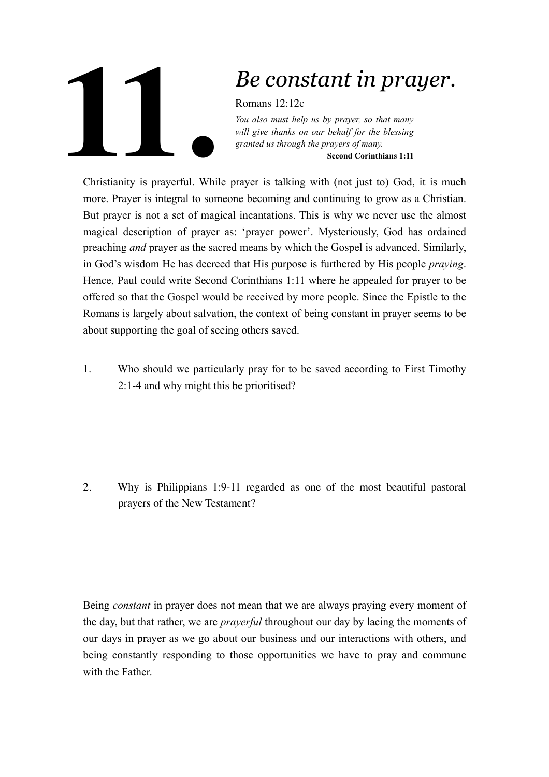## **11.**

## *Be constant in prayer.*

Romans 12:12c

*You also must help us by prayer, so that many will give thanks on our behalf for the blessing granted us through the prayers of many.* **Second Corinthians 1:11** 

Christianity is prayerful. While prayer is talking with (not just to) God, it is much more. Prayer is integral to someone becoming and continuing to grow as a Christian. But prayer is not a set of magical incantations. This is why we never use the almost magical description of prayer as: 'prayer power'. Mysteriously, God has ordained preaching *and* prayer as the sacred means by which the Gospel is advanced. Similarly, in God's wisdom He has decreed that His purpose is furthered by His people *praying*. Hence, Paul could write Second Corinthians 1:11 where he appealed for prayer to be offered so that the Gospel would be received by more people. Since the Epistle to the Romans is largely about salvation, the context of being constant in prayer seems to be about supporting the goal of seeing others saved.

1. Who should we particularly pray for to be saved according to First Timothy 2:1-4 and why might this be prioritised?

2. Why is Philippians 1:9-11 regarded as one of the most beautiful pastoral prayers of the New Testament?

Being *constant* in prayer does not mean that we are always praying every moment of the day, but that rather, we are *prayerful* throughout our day by lacing the moments of our days in prayer as we go about our business and our interactions with others, and being constantly responding to those opportunities we have to pray and commune with the Father.